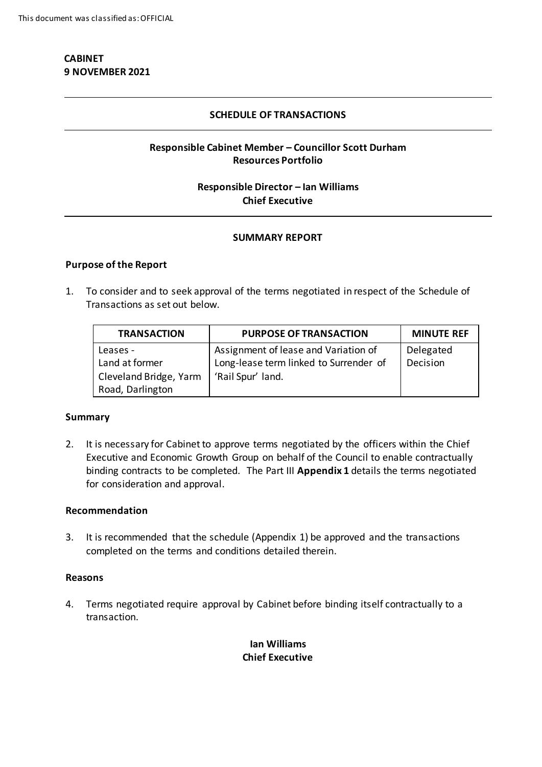# **CABINET 9 NOVEMBER 2021**

#### **SCHEDULE OF TRANSACTIONS**

## **Responsible Cabinet Member – Councillor Scott Durham Resources Portfolio**

## **Responsible Director – Ian Williams Chief Executive**

#### **SUMMARY REPORT**

#### **Purpose of the Report**

1. To consider and to seek approval of the terms negotiated in respect of the Schedule of Transactions as set out below.

| <b>TRANSACTION</b>     | <b>PURPOSE OF TRANSACTION</b>          | <b>MINUTE REF</b> |
|------------------------|----------------------------------------|-------------------|
| Leases -               | Assignment of lease and Variation of   | Delegated         |
| Land at former         | Long-lease term linked to Surrender of | Decision          |
| Cleveland Bridge, Yarm | 'Rail Spur' land.                      |                   |
| Road, Darlington       |                                        |                   |

#### **Summary**

2. It is necessary for Cabinet to approve terms negotiated by the officers within the Chief Executive and Economic Growth Group on behalf of the Council to enable contractually binding contracts to be completed. The Part III **Appendix 1** details the terms negotiated for consideration and approval.

#### **Recommendation**

3. It is recommended that the schedule (Appendix 1) be approved and the transactions completed on the terms and conditions detailed therein.

#### **Reasons**

4. Terms negotiated require approval by Cabinet before binding itself contractually to a transaction.

# **Ian Williams Chief Executive**